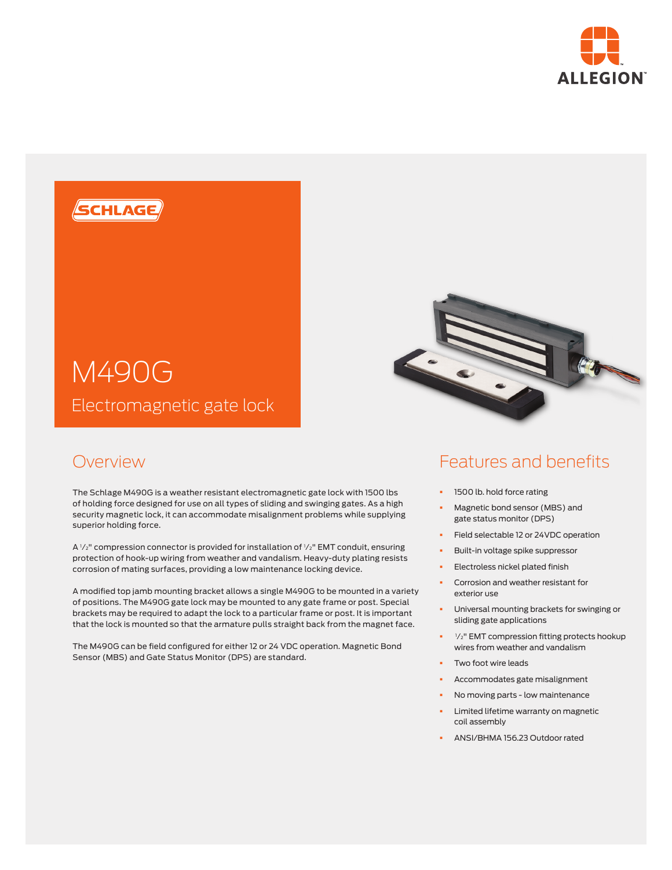





The Schlage M490G is a weather resistant electromagnetic gate lock with 1500 lbs of holding force designed for use on all types of sliding and swinging gates. As a high security magnetic lock, it can accommodate misalignment problems while supplying superior holding force.

A  $V_2$ " compression connector is provided for installation of  $V_2$ " EMT conduit, ensuring protection of hook-up wiring from weather and vandalism. Heavy-duty plating resists corrosion of mating surfaces, providing a low maintenance locking device.

A modified top jamb mounting bracket allows a single M490G to be mounted in a variety of positions. The M490G gate lock may be mounted to any gate frame or post. Special brackets may be required to adapt the lock to a particular frame or post. It is important that the lock is mounted so that the armature pulls straight back from the magnet face.

The M490G can be field configured for either 12 or 24 VDC operation. Magnetic Bond Sensor (MBS) and Gate Status Monitor (DPS) are standard.

# Features and benefits

- § 1500 lb. hold force rating
- § Magnetic bond sensor (MBS) and gate status monitor (DPS)
- § Field selectable 12 or 24VDC operation
- § Built-in voltage spike suppressor
- § Electroless nickel plated finish
- § Corrosion and weather resistant for exterior use
- § Universal mounting brackets for swinging or sliding gate applications
- <sup>•</sup> <sup>1</sup>/<sub>2</sub>" EMT compression fitting protects hookup wires from weather and vandalism
- Two foot wire leads
- § Accommodates gate misalignment
- § No moving parts low maintenance
- Limited lifetime warranty on magnetic coil assembly
- § ANSI/BHMA 156.23 Outdoor rated